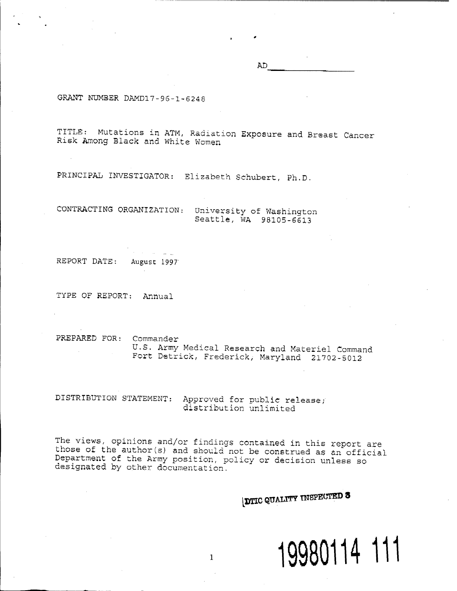AD

GRANT NUMBER DAMD17-96-1-6248

TITLE: Mutations in ATM, Radiation Exposure and Breast Cancer Risk Among Black and white Women

PRINCIPAL INVESTIGATOR: Elizabeth Schubert, Ph.D.

CONTRACTING ORGANIZATION: University of Washington Seattle, WA 98105-6613

REPORT DATE: August <sup>1997</sup>'

TYPE OF REPORT; Annual

PREPARED FOR: Commander U.S. Army Medical Research and Materiel Command Fort Detrick, Frederick, Maryland 21702-5012

DISTRIBUTION STATEMENT: Approved for public release; distribution unlimited

The views, opinions and/or findings contained in this report are those of the author(s) and should not be construed as an official Department of the Army position, policy or decision unless so designated by other documentation.

*DIIC QUALITY INSPECTED 3* 

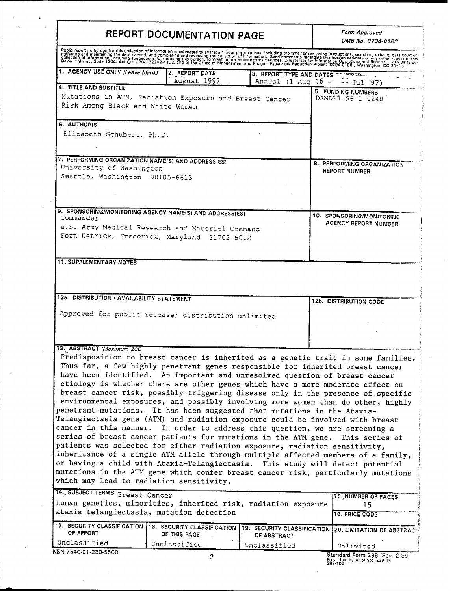| REPORT DOCUMENTATION PAGE                                                                                                                                                                                                                                                                                                                                                                                                                                                                                                                            |                               |                             | Form Approved<br>OMB No. 0704-0188                                                                                                                                                                                                                                                                                                                                                                                                                                                                                                                                                                                                                                                                          |  |  |
|------------------------------------------------------------------------------------------------------------------------------------------------------------------------------------------------------------------------------------------------------------------------------------------------------------------------------------------------------------------------------------------------------------------------------------------------------------------------------------------------------------------------------------------------------|-------------------------------|-----------------------------|-------------------------------------------------------------------------------------------------------------------------------------------------------------------------------------------------------------------------------------------------------------------------------------------------------------------------------------------------------------------------------------------------------------------------------------------------------------------------------------------------------------------------------------------------------------------------------------------------------------------------------------------------------------------------------------------------------------|--|--|
| Public reporting burdon for this collection of information is estimated to average 1 hour por rosponse, including the time for reviewing instructions, searching existing exts sources.<br>Odifering and maintaining the data car                                                                                                                                                                                                                                                                                                                    |                               |                             |                                                                                                                                                                                                                                                                                                                                                                                                                                                                                                                                                                                                                                                                                                             |  |  |
| 1. AGENCY USE ONLY (Leave blank)                                                                                                                                                                                                                                                                                                                                                                                                                                                                                                                     | 2. REPORT DATE<br>August 1997 | Annual (1 Aug 96 -          | 3. REPORT TYPE AND DATES not work<br>$31$ Jul 97)                                                                                                                                                                                                                                                                                                                                                                                                                                                                                                                                                                                                                                                           |  |  |
| <b>4. TITLE AND SUBTITLE</b><br>Mutations in ATM, Radiation Exposure and Breast Cancer<br>Risk Among Black and White Women                                                                                                                                                                                                                                                                                                                                                                                                                           |                               |                             | 5. FUNDING NUMBERS<br>DAMD17-96-1-6248                                                                                                                                                                                                                                                                                                                                                                                                                                                                                                                                                                                                                                                                      |  |  |
| 6. AUTHOR(S)<br>Elizabeth Schubert, Ph.D.                                                                                                                                                                                                                                                                                                                                                                                                                                                                                                            |                               |                             |                                                                                                                                                                                                                                                                                                                                                                                                                                                                                                                                                                                                                                                                                                             |  |  |
| 7. PERFORMING ORGANIZATION NAME(S) AND ADDRESS(ES)<br>University of Washington<br>Seattle, Washington 98105-6613                                                                                                                                                                                                                                                                                                                                                                                                                                     |                               |                             | 8. PERFORMING ORGANIZATION<br><b>REPORT NUMBER</b>                                                                                                                                                                                                                                                                                                                                                                                                                                                                                                                                                                                                                                                          |  |  |
|                                                                                                                                                                                                                                                                                                                                                                                                                                                                                                                                                      |                               |                             |                                                                                                                                                                                                                                                                                                                                                                                                                                                                                                                                                                                                                                                                                                             |  |  |
| 9. SPONSORING/MONITORING AGENCY NAME(S) AND ADDRESS(ES)<br>Commander<br>U.S. Army Medical Research and Materiel Command<br>Fort Detrick, Frederick, Maryland 21702-5012                                                                                                                                                                                                                                                                                                                                                                              |                               |                             | 10. SPONSORING/MONITORING<br>AGENCY REPORT NUMBER                                                                                                                                                                                                                                                                                                                                                                                                                                                                                                                                                                                                                                                           |  |  |
| 12a. DISTRIBUTION / AVAILABILITY STATEMENT                                                                                                                                                                                                                                                                                                                                                                                                                                                                                                           |                               |                             | 12b. DISTRIBUTION CODE                                                                                                                                                                                                                                                                                                                                                                                                                                                                                                                                                                                                                                                                                      |  |  |
| Approved for public release; distribution unlimited                                                                                                                                                                                                                                                                                                                                                                                                                                                                                                  |                               |                             |                                                                                                                                                                                                                                                                                                                                                                                                                                                                                                                                                                                                                                                                                                             |  |  |
| 13. ABSTRACT (Maximum 200<br>have been identified. An important and unresolved question of breast cancer<br>penetrant mutations. It has been suggested that mutations in the Ataxia-<br>Telangiectasia gene (ATM) and radiation exposure could be involved with breast<br>cancer in this manner. In order to address this question, we are screening a<br>series of breast cancer patients for mutations in the ATM gene.<br>patients was selected for either radiation exposure, radiation sensitivity,<br>which may lead to radiation sensitivity. |                               |                             | Predisposition to breast cancer is inherited as a genetic trait in some families.<br>Thus far, a few highly penetrant genes responsible for inherited breast cancer<br>etiology is whether there are other genes which have a more moderate effect on<br>breast cancer risk, possibly triggering disease only in the presence of specific<br>environmental exposures, and possibly involving more women than do other, highly<br>This series of<br>inheritance of a single ATM allele through multiple affected members of a family,<br>or having a child with Ataxia-Telangiectasia. This study will detect potential<br>mutations in the ATM gene which confer breast cancer risk, particularly mutations |  |  |
| 14. SUBJECT TERMS Breast Cancer<br>human genetics, minorities, inherited risk, radiation exposure                                                                                                                                                                                                                                                                                                                                                                                                                                                    |                               |                             | 15, NUMBER OF PAGES<br>15                                                                                                                                                                                                                                                                                                                                                                                                                                                                                                                                                                                                                                                                                   |  |  |
| ataxia telangiectasia, mutation detection<br>17. SECURITY CLASSIFICATION 18. SECURITY CLASSIFICATION<br>OF REPORT                                                                                                                                                                                                                                                                                                                                                                                                                                    | OF THIS PAGE                  |                             | <b>16. PRICE CODE</b><br>19. SECURITY CLASSIFICATION 20. LIMITATION OF ABSTRACT.                                                                                                                                                                                                                                                                                                                                                                                                                                                                                                                                                                                                                            |  |  |
| Unclassified<br>NSN 7540-01-280-5500                                                                                                                                                                                                                                                                                                                                                                                                                                                                                                                 | Unclassified                  | OF ABSTRACT<br>Unclassified | Unlimited<br>Standard Form 298 (Rev. 2-89)<br>Prescribed by ANSI Std. 239-18<br>298-102                                                                                                                                                                                                                                                                                                                                                                                                                                                                                                                                                                                                                     |  |  |

 $\ddot{\phantom{0}}$ 

 $\ddot{\phantom{a}}$ 

 $\sim$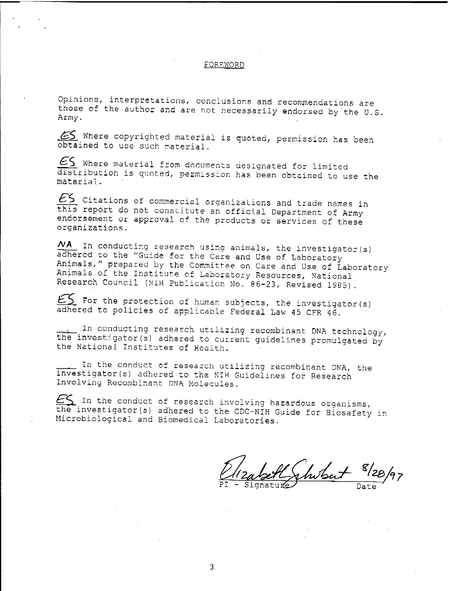#### FOREWORD

Opinions, interpretations, conclusions and recommendations are those of the author and are not necessarily endorsed by the U.S. Army.

65 Where copyrighted material is quoted, permission has been obtained to use such material.

 $\xi$  Where material from documents designated for limited distribution is quoted, permission has been obtained to use the material.

 $E$ S Citations of commercial organizations and trade names in this report do not constitute an official Department of Army endorsement or approval of the products or services of these organizations.

In conducting research using animals, the investigator (s) *A/A* adhered to the "Guide for the Care and Use of Laboratory Animals," prepared by the Committee on Care and Use of Laboratory Animals of the Institute of Laboratory Resources, National Research Council (NIH Publication No. 86-23, Revised 1985).

 $ES$  For the protection of human subjects, the investigator (s) adhered to policies of applicable Federal Law 45 CFR 46.

. In conducting research utilizing recombinant DNA technology, the investigator(s) adhered to current guidelines promulgated by the National Institutes of Health.

In the conduct of research utilizing recombinant DNA, the investigator(s) adhered to the NIH Guidelines for Research Involving Recombinant DNA Molecules.

 $ES$  In the conduct of research involving hazardous organisms, the investigator(s) adhered to the CDC-NIH Guide for Biosafety in Microbiological and Biomedical Laboratories.

eabeth shibat 8/28/97

 $\mathbf{3}$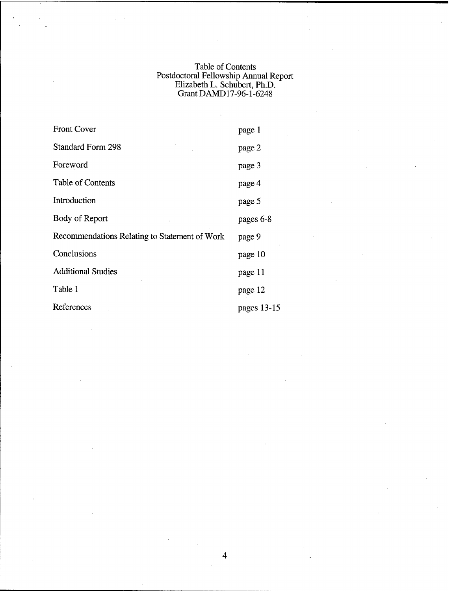## Table of Contents Postdoctoral Fellowship Annual Report Elizabeth L. Schubert, Ph.D. Grant DAMD17-96-1-6248

| <b>Front Cover</b>                            | page 1      |
|-----------------------------------------------|-------------|
| <b>Standard Form 298</b>                      | page 2      |
| Foreword                                      | page 3      |
| Table of Contents                             | page 4      |
| Introduction                                  | page 5      |
| Body of Report                                | pages 6-8   |
| Recommendations Relating to Statement of Work | page 9      |
| Conclusions                                   | page 10     |
| <b>Additional Studies</b>                     | page 11     |
| Table 1                                       | page 12     |
| References                                    | pages 13-15 |

 $\overline{\mathbf{4}}$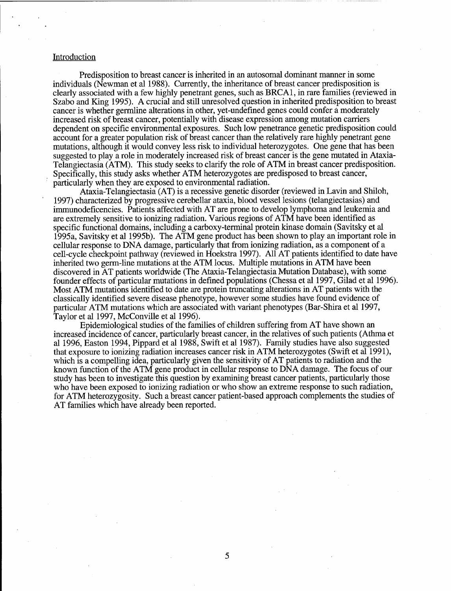#### Introduction

Predisposition to breast cancer is inherited in an autosomal dominant manner in some individuals (Newman et al 1988). Currently, the inheritance of breast cancer predisposition is clearly associated with a few highly penetrant genes, such as BRCA1, in rare families (reviewed in Szabo and King 1995). A crucial and still unresolved question in inherited predisposition to breast cancer is whether germline alterations in other, yet-undefined genes could confer ä moderately increased risk of breast cancer, potentially with disease expression among mutation carriers dependent on specific environmental exposures. Such low penetrance genetic predisposition could account for a greater population risk of breast cancer than the relatively rare highly penetrant gene mutations, although it would convey less risk to individual heterozygotes. One gene that has been suggested to play a role in moderately increased risk of breast cancer is the gene mutated in Ataxia-Telangiectasia (ATM). This study seeks to clarify the role of ATM in breast cancer predisposition. Specifically, this study asks whether ATM heterozygotes are predisposed to breast cancer, particularly when they are exposed to environmental radiation.

Ataxia-Telangiectasia (AT) is a recessive genetic disorder (reviewed in Lavin and Shiloh, 1997) characterized by progressive cerebellar ataxia, blood vessel lesions (telangiectasias) and immunodeficencies. Patients affected with AT are prone to develop lymphoma and leukemia and are extremely sensitive to ionizing radiation. Various regions of ATM have been identified as specific functional domains, including a carboxy-terminal protein kinase domain (Savitsky et al 1995a, Savitsky et al 1995b). The ATM gene product has been shown to play an important role in cellular response to DNA damage, particularly that from ionizing radiation, as a component of a cell-cycle checkpoint pathway (reviewed in Hoekstra 1997). All AT patients identified to date have inherited two germ-line mutations at the ATM locus. Multiple mutations in ATM have been discovered in AT patients worldwide (The Ataxia-Telangiectasia Mutation Database), with some founder effects of particular mutations in defined populations (Chessa et al 1997, Gilad et al 1996). Most ATM mutations identified to date are protein truncating alterations in AT patients with the classically identified severe disease phenotype, however some studies have found evidence of particular ATM mutations which are associated with variant phenotypes (Bar-Shira et al 1997, Taylor et al 1997, McConville et al 1996).

Epidemiological studies of the families of children suffering from AT have shown an increased incidence of cancer, particularly breast cancer, in the relatives of such patients (Athma et al 1996, Easton 1994, Pippard et al 1988, Swift et al 1987). Family studies have also suggested that exposure to ionizing radiation increases cancer risk in ATM heterozygotes (Swift et al 1991), which is a compelling idea, particularly given the sensitivity of AT patients to radiation and the known function of the ATM gene product in cellular response to DNA damage. The focus of our study has been to investigate this question by examining breast cancer patients, particularly those who have been exposed to ionizing radiation or who show an extreme response to such radiation, for ATM heterozygosity. Such a breast cancer patient-based approach complements the studies of AT families which have already been reported.

5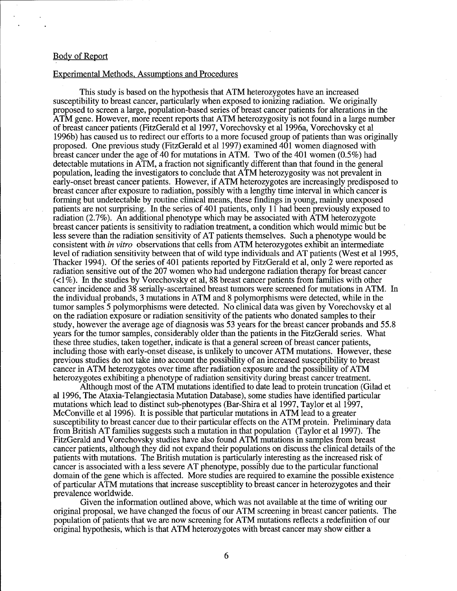#### Body of Report

#### Experimental Methods. Assumptions and Procedures

This study is based on the hypothesis that ATM heterozygotes have an increased susceptibility to breast cancer, particularly when exposed to ionizing radiation. We originally proposed to screen a large, population-based series of breast cancer patients for alterations in the ATM gene. However, more recent reports that ATM heterozygosity is not found in a large number of breast cancer patients (FitzGerald et al 1997, Vorechovsky et al 1996a, Vorechovsky et al 1996b) has caused us to redirect our efforts to a more focused group of patients than was originally proposed. One previous study (FitzGerald et al 1997) examined 401 women diagnosed with breast cancer under the age of 40 for mutations in ATM. Two of the 401 women (0.5%) had detectable mutations in ATM, a fraction not significantly different than that found in the general population, leading the investigators to conclude that ATM heterozygosity was not prevalent in early-onset breast cancer patients. However, if ATM heterozygotes are increasingly predisposed to breast cancer after exposure to radiation, possibly with a lengthy time interval in which cancer is forming but undetectable by routine clinical means, these findings in young, mainly unexposed patients are not surprising. In the series of 401 patients, only 11 had been previously exposed to radiation (2.7%). An additional phenotype which may be associated with ATM heterozygote breast cancer patients is sensitivity to radiation treatment, a condition which would mimic but be less severe than the radiation sensitivity of AT patients themselves. Such a phenotype would be consistent with *in vitro* observations that cells from ATM heterozygotes exhibit an intermediate level of radiation sensitivity between that of wild type individuals and AT patients (West et al 1995, Thacker 1994). Of the series of 401 patients reported by FitzGerald et al, only 2 were reported as radiation sensitive out of the 207 women who had undergone radiation therapy for breast cancer (<1%). In the studies by Vorechovsky et al, 88 breast cancer patients from families with other cancer incidence and 38 serially-ascertained breast tumors were screened for mutations in ATM. In the individual probands, 3 mutations in ATM and 8 polymorphisms were detected, while in the tumor samples 5 polymorphisms were detected. No clinical data was given by Vorechovsky et al on the radiation exposure or radiation sensitivity of the patients who donated samples to their study, however the average age of diagnosis was 53 years for the breast cancer probands and 55.8 years for the tumor samples, considerably older than the patients in the FitzGerald series. What these three studies, taken together, indicate is that a general screen of breast cancer patients, including those with early-onset disease, is unlikely to uncover ATM mutations. However, these previous studies do not take into account the possibility of an increased susceptibility to breast cancer in ATM heterozygotes over time after radiation exposure and the possibility of ATM heterozygotes exhibiting a phenotype of radiation sensitivity during breast cancer treatment.

Although most of the ATM mutations identified to date lead to protein truncation (Gilad et al 1996, The Ataxia-Telangiectasia Mutation Database), some studies have identified particular mutations which lead to distinct sub-phenotypes (Bar-Shira et al 1997, Taylor et al 1997, McConville et al 1996). It is possible that particular mutations in ATM lead to a greater susceptibility to breast cancer due to their particular effects on the ATM protein. Preliminary data from British AT families suggests such a mutation in that population (Taylor et al 1997). The FitzGerald and Vorechovsky studies have also found ATM mutations in samples from breast cancer patients, although they did not expand their populations on discuss the clinical details of the patients with mutations. The British mutation is particularly interesting as the increased risk of cancer is associated with a less severe AT phenotype, possibly due to the particular functional domain of the gene which is affected. More studies are required to examine the possible existence of particular ATM mutations that increase susceptiblity to breast cancer in heterozygotes and their prevalence worldwide.

Given the information outlined above, which was not available at the time of writing our original proposal, we have changed the focus of our ATM screening in breast cancer patients. The population of patients that we are now screening for ATM mutations reflects a redefinition of our original hypothesis, which is that ATM heterozygotes with breast cancer may show either a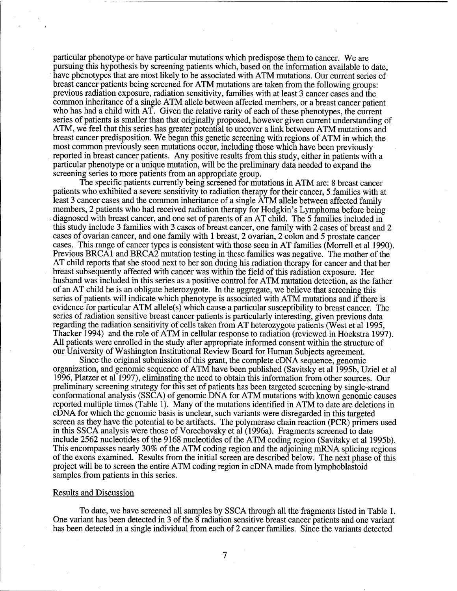particular phenotype or have particular mutations which predispose them to cancer. We are pursuing this hypothesis by screening patients which, based on the information available to date, have phenotypes that are most likely to be associated with ATM mutations. Our current series of breast cancer patients being screened for ATM mutations are taken from the following groups: previous radiation exposure, radiation sensitivity, families with at least 3 cancer cases and the common inheritance of a single ATM allele between affected members, or a breast cancer patient who has had a child with AT. Given the relative rarity of each of these phenotypes, the current series of patients is smaller than that originally proposed, however given current understanding of ATM, we feel that this series has greater potential to uncover a link between ATM mutations and breast cancer predisposition. We began this genetic screening with regions of ATM in which the most common previously seen mutations occur, including those which have been previously reported in breast cancer patients. Any positive results from this study, either in patients with a particular phenotype or a unique mutation, will be the preliminary data needed to expand the screening series to more patients from an appropriate group.

The specific patients currently being screened for mutations in ATM are: 8 breast cancer patients who exhibited a severe sensitivity to radiation therapy for their cancer, 5 families with at least 3 cancer cases and the common inheritance of a single ATM allele between affected family members, 2 patients who had received radiation therapy for Hodgkin's Lymphoma before being diagnosed with breast cancer, and one set of parents of an AT child. The 5 families included in this study include 3 families with 3 cases of breast cancer, one family with 2 cases of breast and 2 cases of ovarian cancer, and one family with <sup>1</sup> breast, 2 ovarian, 2 colon and 5 prostate cancer cases. This range of cancer types is consistent with those seen in AT families (Morrell et al 1990). Previous BRCA $\overline{1}$  and BRCA $\overline{2}$  mutation testing in these families was negative. The mother of the AT child reports that she stood next to her son during his radiation therapy for cancer and that her breast subsequently affected with cancer was within the field of this radiation exposure. Her husband was included in this series as a positive control for ATM mutation detection, as the father of an AT child he is an obligate heterozygote. In the aggregate, we believe that screening this series of patients will indicate which phenotype is associated with ATM mutations and if there is evidence for particular ATM allele(s) which cause a particular susceptibility to breast cancer. The series of radiation sensitive breast cancer patients is particularly interesting, given previous data regarding the radiation sensitivity of cells taken from AT heterozygote patients (West et al 1995, Thacker 1994) and the role of ATM in cellular response to radiation (reviewed in Hoekstra 1997). All patients were enrolled in the study after appropriate informed consent within the structure of our University of Washington Institutional Review Board for Human Subjects agreement.

Since the original submission of this grant, the complete cDNA sequence, genomic organization, and genomic sequence of ATM have been published (Savitsky et al 1995b, Uziel et al 1996, Platzer et al 1997), eliminating the need to obtain this information from other sources. Our preliminary screening strategy for this set of patients has been targeted screening by single-strand conformational analysis (SSCA) of genomic DNA for ATM mutations with known genomic causes reported multiple times (Table 1). Many of the mutations identified in ATM to date are deletions in cDNA for which the genomic basis is unclear, such variants were disregarded in this targeted screen as they have the potential to be artifacts. The polymerase chain reaction (PCR) primers used in this SSCA analysis were those of Vorechovsky et al (1996a). Fragments screened to date include 2562 nucleotides of the 9168 nucleotides of the ATM coding region (Savitsky et al 1995b). This encompasses nearly 30% of the ATM coding region and the adjoining mRNA splicing regions of the exons examined. Results from the initial screen are described below. The next phase of this project will be to screen the entire ATM coding region in cDNA made from lymphoblastoid samples from patients in this series.

#### Results and Discussion

To date, we have screened all samples by SSCA through all the fragments listed in Table 1. One variant has been detected in 3 of the 8 radiation sensitive breast cancer patients and one variant has been detected in a single individual from each of 2 cancer families. Since the variants detected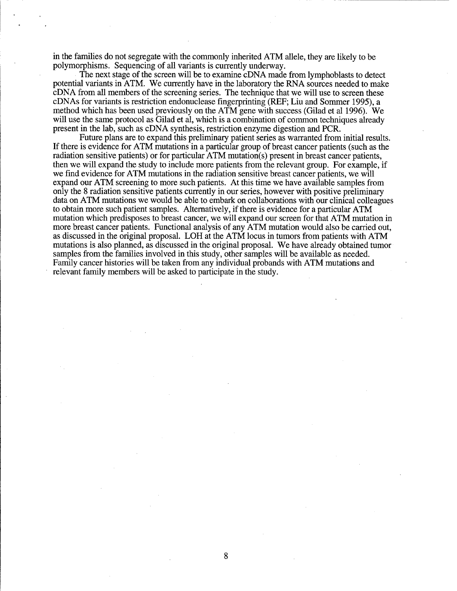in the families do not segregate with the commonly inherited ATM allele, they are likely to be polymorphisms. Sequencing of all variants is currently underway.

The next stage of the screen will be to examine cDNA made from lymphoblasts to detect potential variants in ATM. We currently have in the laboratory the RNA sources needed to make cDNA from all members of the screening series. The technique that we will use to screen these cDNAs for variants is restriction endonuclease fingerprinting (REF; Liu and Sommer 1995), a method which has been used previously on the ATM gene with success (Gilad et al 1996). We will use the same protocol as Gilad et al, which is a combination of common techniques already present in the lab, such as cDNA synthesis, restriction enzyme digestion and PCR.

Future plans are to expand this preliminary patient series as warranted from initial results. If there is evidence for ATM mutations in a particular group of breast cancer patients (such as the radiation sensitive patients) or for particular ATM mutation(s) present in breast cancer patients, then we will expand the study to include more patients from the relevant group. For example, if we find evidence for ATM mutations in the radiation sensitive breast cancer patients, we will expand our ATM screening to more such patients. At this time we have available samples from only the 8 radiation sensitive patients currently in our series, however with positive preliminary data on ATM mutations we would be able to embark on collaborations with our clinical colleagues to obtain more such patient samples. Alternatively, if there is evidence for a particular ATM mutation which predisposes to breast cancer, we will expand our screen for that ATM mutation in more breast cancer patients. Functional analysis of any ATM mutation would also be carried out, as discussed in the original proposal. LOH at the ATM locus in tumors from patients with ATM mutations is also planned, as discussed in the original proposal. We have already obtained tumor samples from the families involved in this study, other samples will be available as needed. Family cancer histories will be taken from any individual probands with ATM mutations and relevant family members will be asked to participate in the study.

8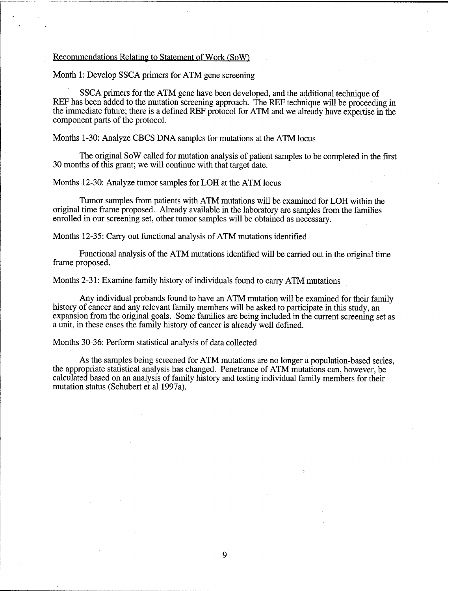#### Recommendations Relating to Statement of Work (SoW)

Month 1: Develop SSCA primers for ATM gene screening

SSCA primers for the ATM gene have been developed, and the additional technique of REF has been added to the mutation screening approach. The REF technique will be proceeding in the immediate future; there is a defined REF protocol for ATM and we already have expertise in the component parts of the protocol.

Months 1-30: Analyze CBCS DNA samples for mutations at the ATM locus

The original SoW called for mutation analysis of patient samples to be completed in the first 30 months of this grant; we will continue with that target date.

Months 12-30: Analyze tumor samples for LOH at the ATM locus

Tumor samples from patients with ATM mutations will be examined for LOH within the original time frame proposed. Already available in the laboratory are samples from the families enrolled in our screening set, other tumor samples will be obtained as necessary.

Months 12-35: Carry out functional analysis of ATM mutations identified

Functional analysis of the ATM mutations identified will be carried out in the original time frame proposed.

Months 2-31: Examine family history of individuals found to carry ATM mutations

Any individual probands found to have an ATM mutation will be examined for their family history of cancer and any relevant family members will be asked to participate in this study, an expansion from the original goals. Some families are being included in the current screening set as a unit, in these cases the family history of cancer is already well defined.

Months 30-36: Perform statistical analysis of data collected

As the samples being screened for ATM mutations are no longer a population-based series, the appropriate statistical analysis has changed. Penetrance of ATM mutations can, however, be calculated based on an analysis of family history and testing individual family members for their mutation status (Schubert et al 1997a).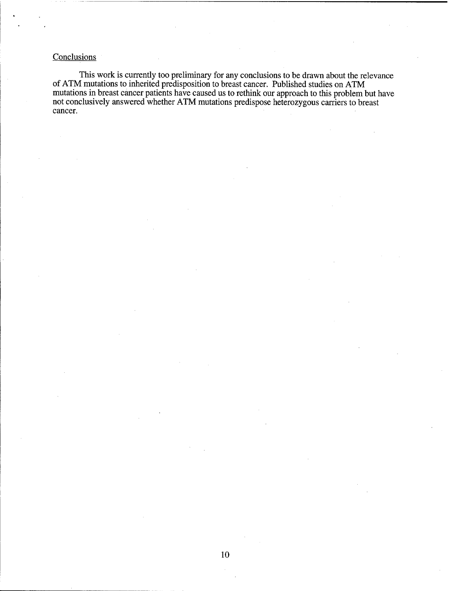# **Conclusions**

This work is currently too preliminary for any conclusions to be drawn about the relevance of ATM mutations to inherited predisposition to breast cancer. Published studies on ATM mutations in breast cancer patients have caused us to rethink our approach to this problem but have not conclusively answered whether ATM mutations predispose heterozygous carriers to breast cancer.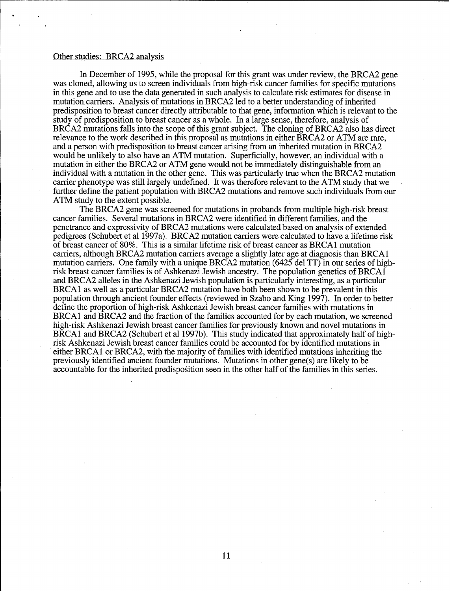### Other studies: BRCA2 analysis

In December of 1995, while the proposal for this grant was under review, the BRCA2 gene was cloned, allowing us to screen individuals from high-risk cancer families for specific mutations in this gene and to use the data generated in such analysis to calculate risk estimates for disease in mutation carriers. Analysis of mutations in BRCA2 led to a better understanding of inherited predisposition to breast cancer directly attributable to that gene, information which is relevant to the study of predisposition to breast cancer as a whole. In a large sense, therefore, analysis of BRCA2 mutations falls into the scope of this grant subject. The cloning of BRCA2 also has direct relevance to the work described in this proposal as mutations in either BRCA2 or ATM are rare, and a person with predisposition to breast cancer arising from an inherited mutation in BRCA2 would be unlikely to also have an ATM mutation. Superficially, however, an individual with a mutation in either the BRCA2 or ATM gene would not be immediately distinguishable from an individual with a mutation in the other gene. This was particularly true when the BRCA2 mutation carrier phenotype was still largely undefined. It was therefore relevant to the ATM study that we further define the patient population with BRCA2 mutations and remove such individuals from our ATM study to the extent possible.

The BRCA2 gene was screened for mutations in probands from multiple high-risk breast cancer families. Several mutations in BRCA2 were identified in different families, and the penetrance and expressivity ofBRCA2 mutations were calculated based on analysis of extended pedigrees (Schubert et al 1997a). BRCA2 mutation carriers were calculated to have a lifetime risk of breast cancer of 80%. This is a similar lifetime risk of breast cancer as BRCA1 mutation carriers, although BRCA2 mutation carriers average a slightly later age at diagnosis than BRCA1 mutation carriers. One family with a unique BRCA2 mutation (6425 del TT) in our series of highrisk breast cancer families is of Ashkenazi Jewish ancestry. The population genetics of BRCA1 and BRCA2 alleles in the Ashkenazi Jewish population is particularly interesting, as a particular BRCA1 as well as a particular BRCA2 mutation have both been shown to be prevalent in this population through ancient founder effects (reviewed in Szabo and King 1997). In order to better define the proportion of high-risk Ashkenazi Jewish breast cancer families with mutations in BRCA1 and BRCA2 and the fraction of the families accounted for by each mutation, we screened high-risk Ashkenazi Jewish breast cancer families for previously known and novel mutations in BRCA1 and BRCA2 (Schubert et al 1997b). This study indicated that approximately half of highrisk Ashkenazi Jewish breast cancer families could be accounted for by identified mutations in either BRCA1 or BRCA2, with the majority of families with identified mutations inheriting the previously identified ancient founder mutations. Mutations in other gene(s) are likely to be accountable for the inherited predisposition seen in the other half of the families in this series.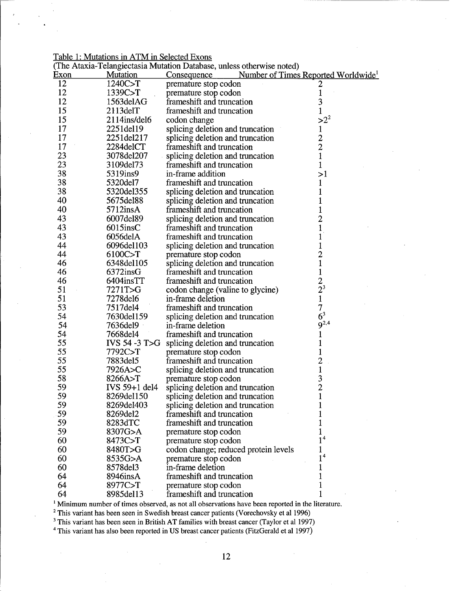Table 1: Mutations in ATM in Selected Exons

| (The Ataxia-Telangiectasia Mutation Database, unless otherwise noted) |                         |                                      |                                                 |  |  |
|-----------------------------------------------------------------------|-------------------------|--------------------------------------|-------------------------------------------------|--|--|
| <u>Exon</u>                                                           | <b>Mutation</b>         | Consequence                          | Number of Times Reported Worldwide <sup>1</sup> |  |  |
| 12                                                                    | 1240C>T                 | premature stop codon                 |                                                 |  |  |
| 12                                                                    | 1339C>T                 | premature stop codon                 | 1                                               |  |  |
| 12                                                                    | 1563delAG               | frameshift and truncation            | 3                                               |  |  |
| 15                                                                    | $2113$ del $T$          | frameshift and truncation            | $\mathbf{1}$                                    |  |  |
| 15                                                                    | 2114ins/del6            | codon change                         | $>2^2$                                          |  |  |
| 17                                                                    | 2251del19               | splicing deletion and truncation     | $\mathbf{1}$                                    |  |  |
| 17                                                                    | 2251del217              | splicing deletion and truncation     |                                                 |  |  |
| 17                                                                    | 2284delCT               | frameshift and truncation            | $\frac{2}{2}$                                   |  |  |
| 23                                                                    | 3078del207              | splicing deletion and truncation     | $\mathbf{1}$                                    |  |  |
| 23                                                                    | 3109del73               | frameshift and truncation            | 1                                               |  |  |
| 38                                                                    | 5319ins9                | in-frame addition                    | >1                                              |  |  |
| 38                                                                    | 5320del7                | frameshift and truncation            | 1                                               |  |  |
| 38                                                                    | 5320del355              | splicing deletion and truncation     |                                                 |  |  |
| 40                                                                    | 5675del88               | splicing deletion and truncation     |                                                 |  |  |
| 40                                                                    | $5712$ ins $A$          | frameshift and truncation            | 1                                               |  |  |
| 43                                                                    | 6007del89               | splicing deletion and truncation     | $\overline{c}$                                  |  |  |
| 43                                                                    | $6015$ insC             | frameshift and truncation            | $\mathbf 1$                                     |  |  |
| 43                                                                    | 6056delA                | frameshift and truncation            | 1                                               |  |  |
| 44                                                                    | 6096del103              | splicing deletion and truncation     | $\mathbf{1}$                                    |  |  |
| 44                                                                    | 6100C>T                 | premature stop codon                 | $\overline{c}$                                  |  |  |
| 46                                                                    | 6348del105              | splicing deletion and truncation     | $\mathbf{1}$                                    |  |  |
| 46                                                                    | $6372$ insG             | frameshift and truncation            | $\mathbf{1}$                                    |  |  |
| 46                                                                    | 6404insTT               | frameshift and truncation            | $\frac{2}{2}$ <sup>3</sup>                      |  |  |
| 51                                                                    | 7271T>G                 | codon change (valine to glycine)     |                                                 |  |  |
| 51                                                                    | 7278del6                | in-frame deletion                    | $\mathbf 1$                                     |  |  |
| 53                                                                    | 7517del4                | frameshift and truncation            | 7                                               |  |  |
| 54                                                                    | 7630del159              | splicing deletion and truncation     | 6 <sup>3</sup>                                  |  |  |
| 54                                                                    | 7636del9                | in-frame deletion                    | $9^{2,4}$                                       |  |  |
| 54                                                                    | 7668del4                | frameshift and truncation            |                                                 |  |  |
| 55                                                                    | <b>IVS 54 -3 T&gt;G</b> | splicing deletion and truncation     |                                                 |  |  |
| 55                                                                    | 7792C > T               | premature stop codon                 | 1                                               |  |  |
| 55                                                                    | 7883del5                | frameshift and truncation            | $\overline{c}$                                  |  |  |
| 55                                                                    | 7926A>C                 | splicing deletion and truncation     | $\mathbf{1}$                                    |  |  |
| 58                                                                    | 8266A>T                 | premature stop codon                 | 3                                               |  |  |
| 59                                                                    | IVS 59+1 del4           | splicing deletion and truncation     | $\overline{2}$                                  |  |  |
| 59                                                                    | 8269del150              | splicing deletion and truncation     | 1                                               |  |  |
| 59                                                                    | 8269del403              | splicing deletion and truncation     |                                                 |  |  |
| 59                                                                    | 8269del2                | frameshift and truncation            |                                                 |  |  |
| 59                                                                    | 8283dTC                 | frameshift and truncation            |                                                 |  |  |
| 59                                                                    | 8307G>A                 | premature stop codon                 |                                                 |  |  |
| 60                                                                    | 8473C>T                 | premature stop codon                 | 1 <sup>4</sup>                                  |  |  |
| 60                                                                    | 8480T>G                 | codon change; reduced protein levels |                                                 |  |  |
| 60                                                                    | 8535G>A                 | premature stop codon                 | 1 <sup>4</sup>                                  |  |  |
| 60                                                                    | 8578del3                | in-frame deletion                    | 1                                               |  |  |
| 64                                                                    | 8946insA                | frameshift and truncation            |                                                 |  |  |
| 64                                                                    | 8977C>T                 | premature stop codon                 | 1                                               |  |  |
| 64                                                                    | 8985del13               | frameshift and truncation            | 1                                               |  |  |

<sup>1</sup> Minimum number of times observed, as not all observations have been reported in the literature.

 $2$  This variant has been seen in Swedish breast cancer patients (Vorechovsky et al 1996)

 $3$  This variant has been seen in British AT families with breast cancer (Taylor et al 1997)

<sup>4</sup> This variant has also been reported in US breast cancer patients (FitzGerald et al 1997)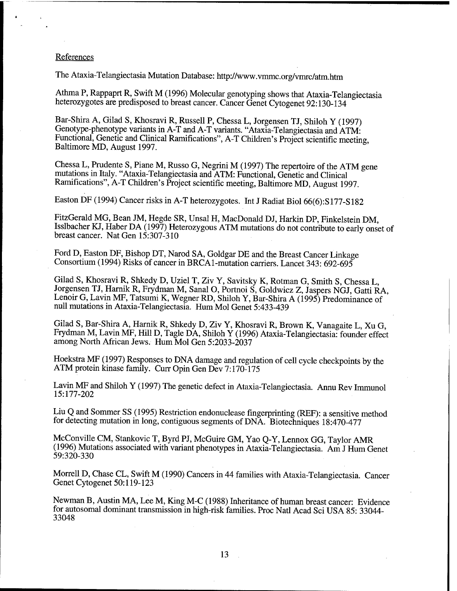## **References**

The Ataxia-Telangiectasia Mutation Database: http://www.vmmc.org/vmrc/atm.htm

Athma P, Rappaprt R, Swift M (1996) Molecular genotyping shows that Ataxia-Telangiectasia heterozygotes are predisposed to breast cancer. Cancer Genet Cytogenet 92:130-134

Bar-Shira A, Gilad S, Khosravi R, Russell P, Chessa L, Jorgensen TJ, Shiloh Y (1997) Genotype-phenotype variants in A-T and A-T variants. "Ataxia-Telangiectasia and ATM: Functional, Genetic and Clinical Ramifications", A-T Children's Project scientific meeting, Baltimore MD, August 1997.

Chessa L, Prudente S, Piane M, Russo G, Negrini M (1997) The repertoire of the ATM gene mutations in Italy. "Ataxia-Telangiectasia and ATM: Functional, Genetic and Clinical Ramifications", A-T Children's Project scientific meeting, Baltimore MD, August 1997.

Easton DF (1994) Cancer risks in A-T heterozygotes. Int J Radiat Biol 66(6):S177-S182

FitzGerald MG, Bean JM, Hegde SR, Unsal H, MacDonald DJ, Harkin DP, Finkelstein DM, Isslbacher KJ, Haber DA (1997) Heterozygous ATM mutations do not contribute to early onset of breast cancer. Nat Gen 15:307-310

Ford D, Easton DF, Bishop DT, Narod SA, Goldgar DE and the Breast Cancer Linkage Consortium (1994) Risks of cancer in BRCA1-mutation carriers. Lancet 343: 692-695

Gilad S, Khosravi R, Shkedy D, Uziel T, Ziv Y, Savitsky K, Rotman G, Smith S, Chessa L, Jorgensen TJ, Harnik R, Frydman M, Sanal O, Portnoi S, Goldwicz Z, Jaspers NGJ, Gatti RA, Lenoir G, Lavin MF, Tatsumi K, Wegner RD, Shiloh Y, Bar-Shira A (1995) Predominance of null mutations in Ataxia-Telangiectasia. Hum Mol Genet 5:433-439

Gilad S, Bar-Shira A, Harnik R, Shkedy D, Ziv Y, Khosravi R, Brown K, Vanagaite L, Xu G, Frydman M, Lavin MF, Hill D, Tagle DA, Shiloh Y (1996) Ataxia-Telangiectasia: founder effect among North African Jews. Hum Mol Gen 5:2033-2037

Hoekstra MF (1997) Responses to DNA damage and regulation of cell cycle checkpoints by the ATM protein kinase family. Curr Opin Gen Dev 7:170-175

Lavin MF and Shiloh Y (1997) The genetic defect in Ataxia-Telangiectasia. Annu Rev Immunol 15:177-202

Liu Q and Sommer SS (1995) Restriction endonuclease fingerprinting (REF): a sensitive method for detecting mutation in long, contiguous segments of DNA. Biotechniques 18:470-477

McConville CM, Stankovic T, Byrd PJ, McGuire GM, Yao Q-Y, Lennox GG, Taylor AMR (1996) Mutations associated with variant phenotypes in Ataxia-Telangiectasia. Am J Hum Genet 59:320-330

Morrell D, Chase CL, Swift M (1990) Cancers in 44 families with Ataxia-Telangiectasia. Cancer Genet Cytogenet 50:119-123

Newman B, Austin MA, Lee M, King M-C (1988) Inheritance of human breast cancer: Evidence for autosomal dominant transmission in high-risk families. Proc Natl Acad Sei USA 85: 33044- 33048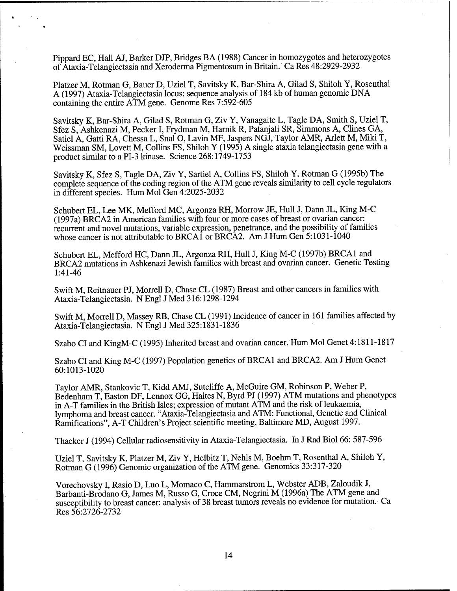Pippard EC, Hall AJ, Barker DJP, Bridges BA (1988) Cancer in homozygotes and heterozygotes of Ataxia-Telangiectasia and Xeroderma Pigmentosum in Britain. Ca Res 48:2929-2932

Platzer M, Rotman G, Bauer D, Uziel T, Savitsky K, Bar-Shira A, Gilad S, Shiloh Y, Rosenthal A (1997) Ataxia-Telangiectasia locus: sequence analysis of 184 kb of human genomic DNA containing the entire ATM gene. Genome Res 7:592-605

Savitsky K, Bar-Shira A, Gilad S, Rotman G, Ziv Y, Vanagaite L, Tagle DA, Smith S, Uziel T, Sfez S, Ashkenazi M, Pecker I, Frydman M, Harnik R, Patanjali SR, Simmons A, Clines GA, Satiel A, Gatti RA, Chessa L, Snal O, Lavin MF, Jaspers NGJ, Taylor AMR, Arlett M, Miki T, Weissman SM, Lovett M, Collins FS, Shiloh Y (1995) A single ataxia telangiectasia gene with a product similar to a PI-3 kinase. Science 268:1749-1753

Savitsky K, Sfez S, Tagle DA, Ziv Y, Sartiel A, Collins FS, Shiloh Y, Rotman G (1995b) The complete sequence of the coding region of the ATM gene reveals similarity to cell cycle regulators in different species. Hum Mol Gen 4:2025-2032

Schubert EL, Lee MK, Mefford MC, Argonza RH, Morrow JE, Hull J, Dann JL, King M-C (1997a) BRCA2 in American families with four or more cases of breast or ovarian cancer: recurrent and novel mutations, variable expression, penetrance, and the possibility of families whose cancer is not attributable to BRCA1 or BRCA2. Am J Hum Gen 5:1031-1040

Schubert EL, Mefford HC, Dann JL, Argonza RH, Hull J, King M-C (1997b) BRCA1 and BRCA2 mutations in Ashkenazi Jewish families with breast and ovarian cancer. Genetic Testing 1:41-46

Swift M, Reitnauer PJ, Morrell D, Chase CL (1987) Breast and other cancers in families with Ataxia-Telangiectasia. N Engl J Med 316:1298-1294

Swift M, Morrell D, Massey RB, Chase CL (1991) Incidence of cancer in 161 families affected by Ataxia-Telangiectasia. N Engl J Med 325:1831-1836

Szabo CI and KingM-C (1995) Inherited breast and ovarian cancer. Hum Mol Genet 4:1811-1817

Szabo CI and King M-C (1997) Population genetics of BRCA1 and BRCA2. Am J Hum Genet 60:1013-1020

Taylor AMR, Stankovic T, Kidd AMJ, Sutcliffe A, McGuire GM, Robinson P, Weber P, Bedenham T, Easton DF, Lennox GG, Haites N, Byrd PJ (1997) ATM mutations and phenotypes in A-T families in the British Isles; expression of mutant ATM and the risk of leukaemia, lymphoma and breast cancer. "Ataxia-Telangiectasia and ATM: Functional, Genetic and Clinical Ramifications", A-T Children's Project scientific meeting, Baltimore MD, August 1997.

Thacker J (1994) Cellular radiosensitivity in Ataxia-Telangiectasia. In J Rad Biol 66: 587-596

Uziel T, Savitsky K, Platzer M, Ziv Y, Helbitz T, Nehls M, Boehm T, Rosenthal A, Shiloh Y, Rotman G (1996) Genomic organization of the ATM gene. Genomics 33:317-320

Vorechovsky I, Rasio D, Luo L, Momaco C, Hammarstrom L, Webster ADB, Zaloudik J, Barbanti-Brodano G, James M, Russo G, Croce CM, Negrini M (1996a) The ATM gene and susceptibility to breast cancer: analysis of 38 breast tumors reveals no evidence for mutation. Ca Res 56:2726-2732